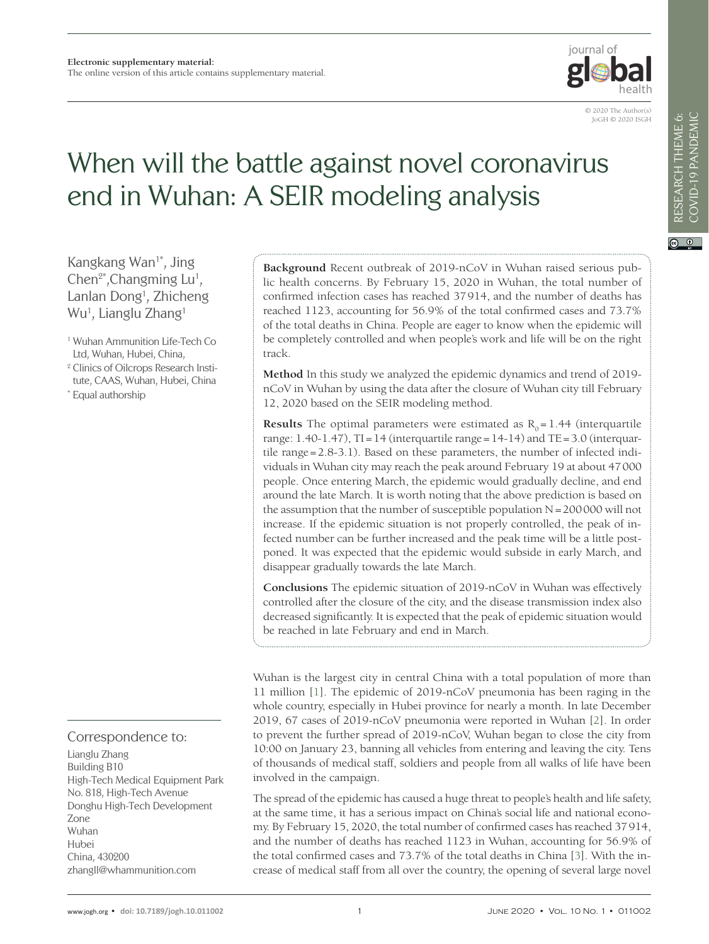

# When will the battle against novel coronavirus end in Wuhan: A SEIR modeling analysis

Kangkang Wan<sup>1\*</sup>, Jing Chen<sup>2\*</sup>, Changming Lu<sup>1</sup>, Lanlan Dong<sup>1</sup>, Zhicheng  $\mathsf{Wu}^{\scriptscriptstyle 1}$ , Lianglu Zhang $^{\scriptscriptstyle 1}$ 

- <sup>1</sup> Wuhan Ammunition Life-Tech Co Ltd, Wuhan, Hubei, China,
- <sup>2</sup> Clinics of Oilcrops Research Institute, CAAS, Wuhan, Hubei, China
- \* Equal authorship

# Correspondence to:

Lianglu Zhang Building B10 High-Tech Medical Equipment Park No. 818, High-Tech Avenue Donghu High-Tech Development Zone Wuhan Hubei China, 430200 zhangll@whammunition.com

**Background** Recent outbreak of 2019-nCoV in Wuhan raised serious public health concerns. By February 15, 2020 in Wuhan, the total number of confirmed infection cases has reached 37914, and the number of deaths has reached 1123, accounting for 56.9% of the total confirmed cases and 73.7% of the total deaths in China. People are eager to know when the epidemic will be completely controlled and when people's work and life will be on the right track.

**Method** In this study we analyzed the epidemic dynamics and trend of 2019 nCoV in Wuhan by using the data after the closure of Wuhan city till February 12, 2020 based on the SEIR modeling method.

**Results** The optimal parameters were estimated as  $R_0 = 1.44$  (interquartile range:  $1.40-1.47$ ), TI = 14 (interquartile range = 14-14) and TE = 3.0 (interquartile range= $2.8-3.1$ ). Based on these parameters, the number of infected individuals in Wuhan city may reach the peak around February 19 at about 47000 people. Once entering March, the epidemic would gradually decline, and end around the late March. It is worth noting that the above prediction is based on the assumption that the number of susceptible population  $N = 200000$  will not increase. If the epidemic situation is not properly controlled, the peak of infected number can be further increased and the peak time will be a little postponed. It was expected that the epidemic would subside in early March, and disappear gradually towards the late March.

**Conclusions** The epidemic situation of 2019-nCoV in Wuhan was effectively controlled after the closure of the city, and the disease transmission index also decreased significantly. It is expected that the peak of epidemic situation would be reached in late February and end in March.

Wuhan is the largest city in central China with a total population of more than 11 million [\[1](#page-5-0)]. The epidemic of 2019-nCoV pneumonia has been raging in the whole country, especially in Hubei province for nearly a month. In late December 2019, 67 cases of 2019-nCoV pneumonia were reported in Wuhan [[2\]](#page-5-1). In order to prevent the further spread of 2019-nCoV, Wuhan began to close the city from 10:00 on January 23, banning all vehicles from entering and leaving the city. Tens of thousands of medical staff, soldiers and people from all walks of life have been involved in the campaign.

The spread of the epidemic has caused a huge threat to people's health and life safety, at the same time, it has a serious impact on China's social life and national economy. By February 15, 2020, the total number of confirmed cases has reached 37914, and the number of deaths has reached 1123 in Wuhan, accounting for 56.9% of the total confirmed cases and 73.7% of the total deaths in China [[3](#page-5-2)]. With the increase of medical staff from all over the country, the opening of several large novel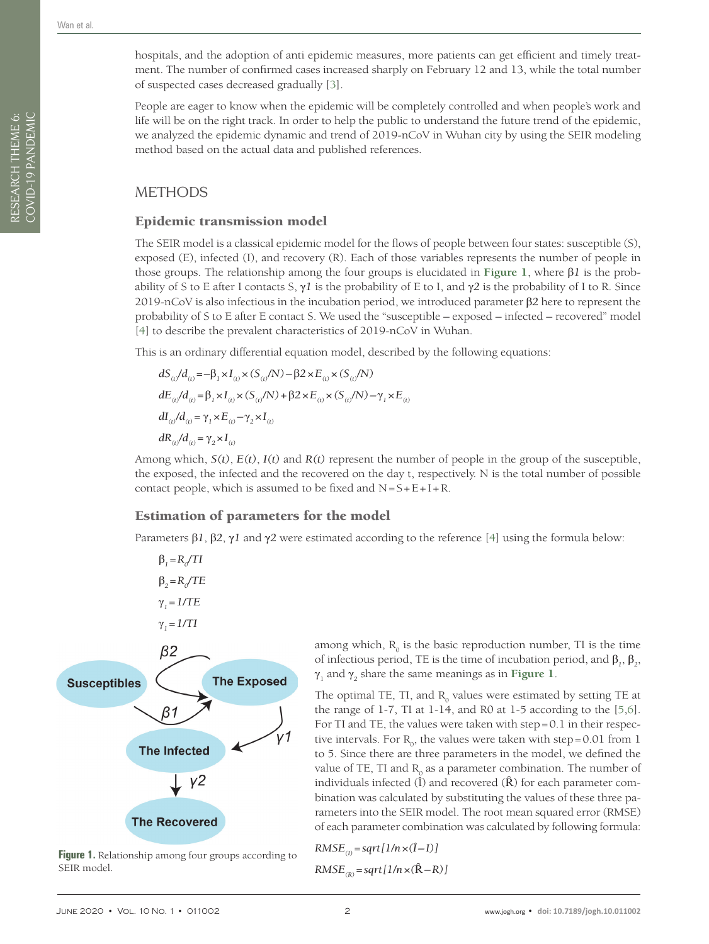RESEARCH THEME 6: COVID-19 PANDEMIC

RESEARCH THEME 6:<br>COVID-19 PANDEMIC

hospitals, and the adoption of anti epidemic measures, more patients can get efficient and timely treatment. The number of confirmed cases increased sharply on February 12 and 13, while the total number of suspected cases decreased gradually [\[3](#page-5-2)].

People are eager to know when the epidemic will be completely controlled and when people's work and life will be on the right track. In order to help the public to understand the future trend of the epidemic, we analyzed the epidemic dynamic and trend of 2019-nCoV in Wuhan city by using the SEIR modeling method based on the actual data and published references.

## **METHODS**

### Epidemic transmission model

The SEIR model is a classical epidemic model for the flows of people between four states: susceptible (S), exposed (E), infected (I), and recovery (R). Each of those variables represents the number of people in those groups. The relationship among the four groups is elucidated in **[Figure 1](#page-1-0)**, where β*1* is the probability of S to E after I contacts S, γ*1* is the probability of E to I, and γ*2* is the probability of I to R. Since 2019-nCoV is also infectious in the incubation period, we introduced parameter β*2* here to represent the probability of S to E after E contact S. We used the "susceptible – exposed – infected – recovered" model [[4](#page-5-3)] to describe the prevalent characteristics of 2019-nCoV in Wuhan.

This is an ordinary differential equation model, described by the following equations:

$$
dS_{\omega}/d_{\omega} = -\beta_1 \times I_{\omega} \times (S_{\omega}/N) - \beta 2 \times E_{\omega} \times (S_{\omega}/N)
$$
  
\n
$$
dE_{\omega}/d_{\omega} = \beta_1 \times I_{\omega} \times (S_{\omega}/N) + \beta 2 \times E_{\omega} \times (S_{\omega}/N) - \gamma_1 \times E_{\omega}
$$
  
\n
$$
dI_{\omega}/d_{\omega} = \gamma_1 \times E_{\omega} - \gamma_2 \times I_{\omega}
$$
  
\n
$$
dR_{\omega}/d_{\omega} = \gamma_2 \times I_{\omega}
$$

Among which, *S(t)*, *E(t)*, *I(t)* and *R(t)* represent the number of people in the group of the susceptible, the exposed, the infected and the recovered on the day t, respectively. N is the total number of possible contact people, which is assumed to be fixed and  $N = S + E + I + R$ .

## Estimation of parameters for the model

Parameters β*1*, β*2*, γ*1* and γ*2* were estimated according to the reference [\[4](#page-5-3)] using the formula below:

 $\beta_1 = R_0 / TI$  $\beta_2 = R_0 / TE$  $γ<sub>1</sub> = 1/TE$  $\gamma_i = 1/TI$ B<sub>2</sub>

<span id="page-1-0"></span>

**Figure 1.** Relationship among four groups according to SEIR model.

among which,  $\mathrm{R}_0$  is the basic reproduction number, TI is the time of infectious period, TE is the time of incubation period, and  $\beta_1$ ,  $\beta_2$ ,  $\gamma_1$  and  $\gamma_2$  share the same meanings as in [Figure 1](#page-1-0).

The optimal TE, TI, and  $\text{R}_{\text{o}}$  values were estimated by setting TE at the range of 1-7, TI at 1-14, and R0 at 1-5 according to the [[5,](#page-5-4)[6](#page-5-5)]. For TI and TE, the values were taken with step=0.1 in their respective intervals. For  $R_0$ , the values were taken with step=0.01 from 1 to 5. Since there are three parameters in the model, we defined the value of TE, TI and  $R_0$  as a parameter combination. The number of individuals infected  $(\hat{\mathbf{l}})$  and recovered  $(\hat{\mathbf{R}})$  for each parameter combination was calculated by substituting the values of these three parameters into the SEIR model. The root mean squared error (RMSE) of each parameter combination was calculated by following formula:

RMSE<sub>(I)</sub> = sqrt[1/n×(
$$
\hat{I}-I
$$
)]  
RMSE<sub>(R)</sub> = sqrt[1/n×( $\hat{R}-R$ )]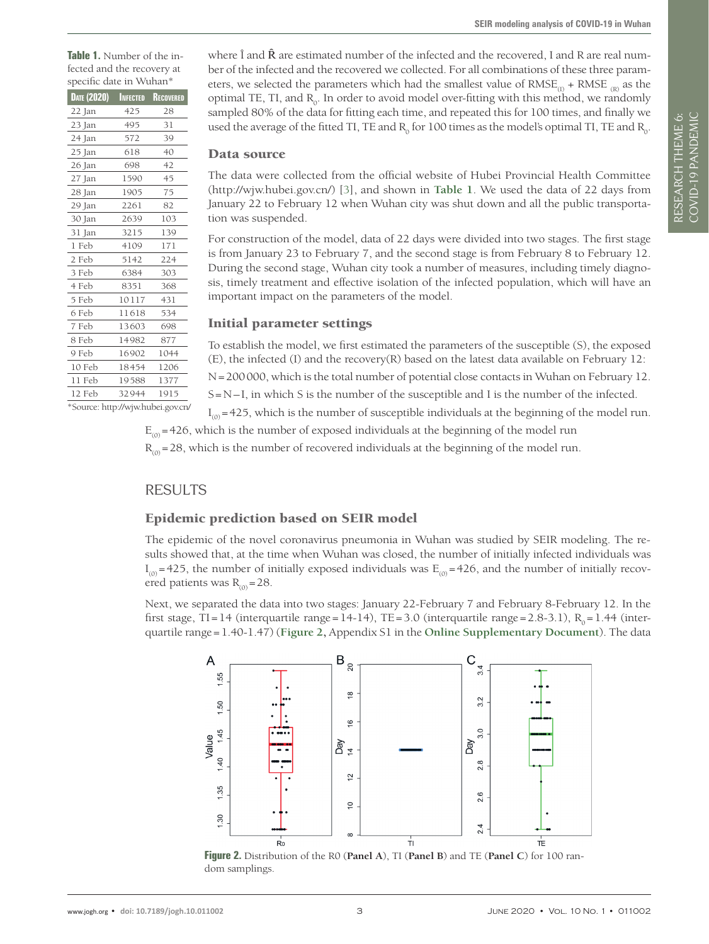<span id="page-2-0"></span>**Table 1.** Number of the infected and the recovery at specific date in Wuhan\*

| 425<br>495<br>572 | 28<br>31                                 |
|-------------------|------------------------------------------|
|                   |                                          |
|                   |                                          |
|                   | 39                                       |
|                   | 40                                       |
| 698               | 42                                       |
| 1590              | 45                                       |
| 1905              | 75                                       |
| 2261              | 82                                       |
| 2639              | 103                                      |
| 3215              | 139                                      |
| 4109              | 171                                      |
| 5142              | 224                                      |
| 6384              | 303                                      |
| 8351              | 368                                      |
| 10117             | 431                                      |
| 11618             | 534                                      |
| 13603             | 698                                      |
| 14982             | 877                                      |
| 16902             | 1044                                     |
| 18454             | 1206                                     |
| 19588             | 1377                                     |
| 32944             | 1915                                     |
|                   | 618<br>*Source: http://wjw.hubei.gov.cn/ |

where  $\hat{I}$  and  $\hat{R}$  are estimated number of the infected and the recovered, I and R are real number of the infected and the recovered we collected. For all combinations of these three parameters, we selected the parameters which had the smallest value of  $RMSE_{\text{on}} + RMSE_{\text{on}}$  as the optimal TE, TI, and  $R_{0}$ . In order to avoid model over-fitting with this method, we randomly sampled 80% of the data for fitting each time, and repeated this for 100 times, and finally we used the average of the fitted TI, TE and  $\rm R_{_0}$  for 100 times as the model's optimal TI, TE and  $\rm R_{_0}.$ 

#### Data source

The data were collected from the official website of Hubei Provincial Health Committee [\(http://wjw.hubei.gov.cn/](http://wjw.hubei.gov.cn/)) [[3\]](#page-5-2), and shown in **[Table 1](#page-2-0)**. We used the data of 22 days from January 22 to February 12 when Wuhan city was shut down and all the public transportation was suspended.

For construction of the model, data of 22 days were divided into two stages. The first stage is from January 23 to February 7, and the second stage is from February 8 to February 12. During the second stage, Wuhan city took a number of measures, including timely diagnosis, timely treatment and effective isolation of the infected population, which will have an important impact on the parameters of the model.

#### Initial parameter settings

To establish the model, we first estimated the parameters of the susceptible (S), the exposed (E), the infected (I) and the recovery(R) based on the latest data available on February 12: N=200000, which is the total number of potential close contacts in Wuhan on February 12. S=N–I, in which S is the number of the susceptible and I is the number of the infected.

 $I_{(0)}$  = 425, which is the number of susceptible individuals at the beginning of the model run.

 $E_{(0)}$  = 426, which is the number of exposed individuals at the beginning of the model run  $R_{(0)}$  = 28, which is the number of recovered individuals at the beginning of the model run.

## RESULTS

#### Epidemic prediction based on SEIR model

The epidemic of the novel coronavirus pneumonia in Wuhan was studied by SEIR modeling. The results showed that, at the time when Wuhan was closed, the number of initially infected individuals was  $I_{(0)}$  = 425, the number of initially exposed individuals was  $E_{(0)}$  = 426, and the number of initially recovered patients was  $R_{\text{on}} = 28$ .

<span id="page-2-1"></span>Next, we separated the data into two stages: January 22-February 7 and February 8-February 12. In the first stage, TI=14 (interquartile range=14-14), TE=3.0 (interquartile range=2.8-3.1),  $R_0 = 1.44$  (interquartile range=1.40-1.47) (**[Figure 2,](#page-2-1)** Appendix S1 in the **[Online Supplementary Document](#page-5-6)**). The data



**Figure 2.** Distribution of the R0 (**Panel A**), TI (**Panel B**) and TE (**Panel C**) for 100 random samplings.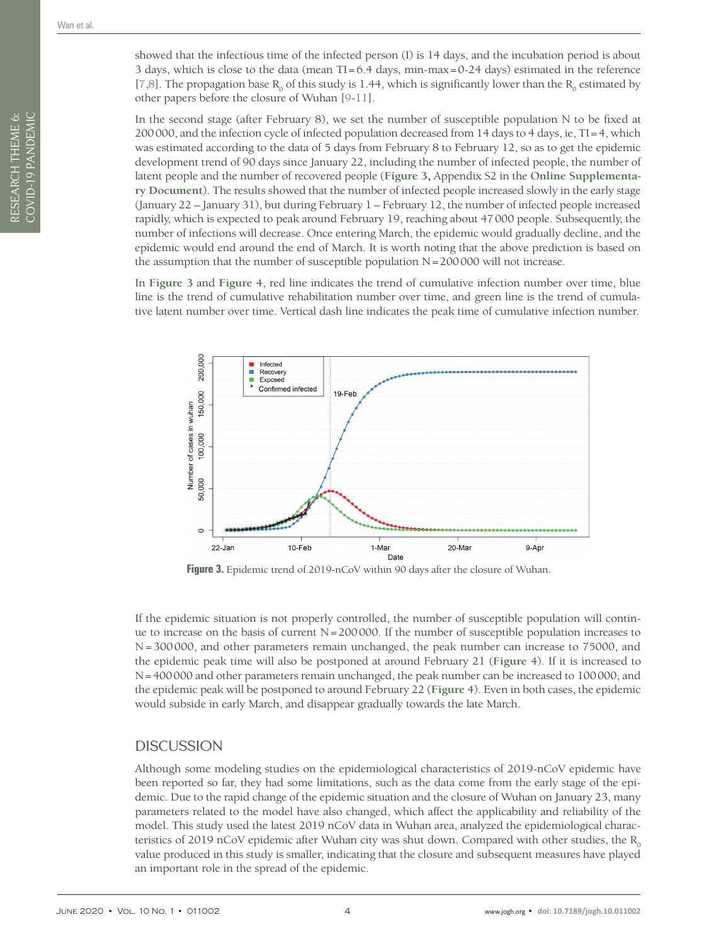RESEARCH THEME 6: COVID-19 PANDEMIC

RESEARCH THEME 6:<br>COVID-19 PANDEMIC

showed that the infectious time of the infected person (I) is 14 days, and the incubation period is about 3 days, which is close to the data (mean TI=6.4 days, min-max=0-24 days) estimated in the reference [[7](#page-5-7),[8](#page-5-8)]. The propagation base  $R_0$  of this study is 1.44, which is significantly lower than the  $R_0$  estimated by other papers before the closure of Wuhan [[9](#page-5-9)[-11](#page-5-10)].

In the second stage (after February 8), we set the number of susceptible population N to be fixed at 200000, and the infection cycle of infected population decreased from 14 days to 4 days, ie, TI=4, which was estimated according to the data of 5 days from February 8 to February 12, so as to get the epidemic development trend of 90 days since January 22, including the number of infected people, the number of latent people and the number of recovered people (**[Figure 3](#page-3-0),** Appendix S2 in the **[Online Supplementa](#page-5-6)[ry Document](#page-5-6)**). The results showed that the number of infected people increased slowly in the early stage (January 22 – January 31), but during February 1 – February 12, the number of infected people increased rapidly, which is expected to peak around February 19, reaching about 47000 people. Subsequently, the number of infections will decrease. Once entering March, the epidemic would gradually decline, and the epidemic would end around the end of March. It is worth noting that the above prediction is based on the assumption that the number of susceptible population  $N=200000$  will not increase.

<span id="page-3-0"></span>In **[Figure 3](#page-3-0)** and **[Figure 4](#page-4-0)**, red line indicates the trend of cumulative infection number over time, blue line is the trend of cumulative rehabilitation number over time, and green line is the trend of cumulative latent number over time. Vertical dash line indicates the peak time of cumulative infection number.



Figure 3. Epidemic trend of 2019-nCoV within 90 days after the closure of Wuhan.

If the epidemic situation is not properly controlled, the number of susceptible population will continue to increase on the basis of current N=200000. If the number of susceptible population increases to N=300000, and other parameters remain unchanged, the peak number can increase to 75000, and the epidemic peak time will also be postponed at around February 21 (**[Figure 4](#page-4-0)**). If it is increased to N=400000 and other parameters remain unchanged, the peak number can be increased to 100000, and the epidemic peak will be postponed to around February 22 (**[Figure 4](#page-4-0)**). Even in both cases, the epidemic would subside in early March, and disappear gradually towards the late March.

#### **DISCUSSION**

Although some modeling studies on the epidemiological characteristics of 2019-nCoV epidemic have been reported so far, they had some limitations, such as the data come from the early stage of the epidemic. Due to the rapid change of the epidemic situation and the closure of Wuhan on January 23, many parameters related to the model have also changed, which affect the applicability and reliability of the model. This study used the latest 2019 nCoV data in Wuhan area, analyzed the epidemiological characteristics of 2019 nCoV epidemic after Wuhan city was shut down. Compared with other studies, the R<sup>0</sup> value produced in this study is smaller, indicating that the closure and subsequent measures have played an important role in the spread of the epidemic.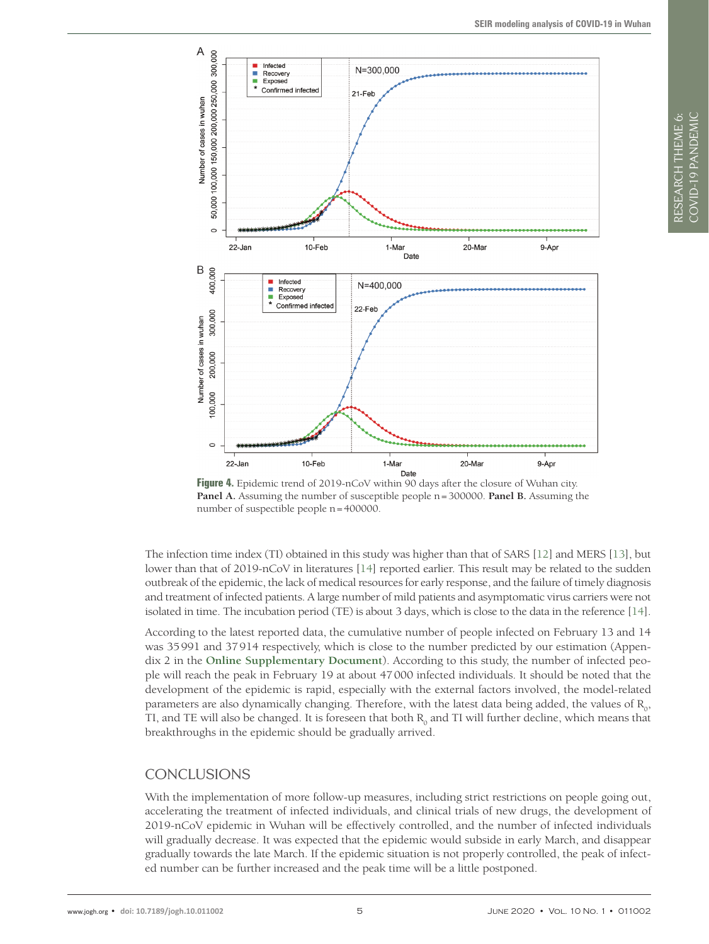<span id="page-4-0"></span>

**Panel A.** Assuming the number of susceptible people n=300000. **Panel B.** Assuming the number of suspectible people n=400000.

The infection time index (TI) obtained in this study was higher than that of SARS [[12](#page-5-11)] and MERS [[13](#page-5-12)], but lower than that of 2019-nCoV in literatures [\[14](#page-5-13)] reported earlier. This result may be related to the sudden outbreak of the epidemic, the lack of medical resources for early response, and the failure of timely diagnosis and treatment of infected patients. A large number of mild patients and asymptomatic virus carriers were not isolated in time. The incubation period (TE) is about 3 days, which is close to the data in the reference [[14](#page-5-13)].

According to the latest reported data, the cumulative number of people infected on February 13 and 14 was 35991 and 37914 respectively, which is close to the number predicted by our estimation (Appendix 2 in the **[Online Supplementary Document](#page-5-6)**). According to this study, the number of infected people will reach the peak in February 19 at about 47000 infected individuals. It should be noted that the development of the epidemic is rapid, especially with the external factors involved, the model-related parameters are also dynamically changing. Therefore, with the latest data being added, the values of  $\mathrm{R}_0^{\mathrm{}}$ , TI, and TE will also be changed. It is foreseen that both  $R_{\rm o}$  and TI will further decline, which means that breakthroughs in the epidemic should be gradually arrived.

## CONCLUSIONS

With the implementation of more follow-up measures, including strict restrictions on people going out, accelerating the treatment of infected individuals, and clinical trials of new drugs, the development of 2019-nCoV epidemic in Wuhan will be effectively controlled, and the number of infected individuals will gradually decrease. It was expected that the epidemic would subside in early March, and disappear gradually towards the late March. If the epidemic situation is not properly controlled, the peak of infected number can be further increased and the peak time will be a little postponed.